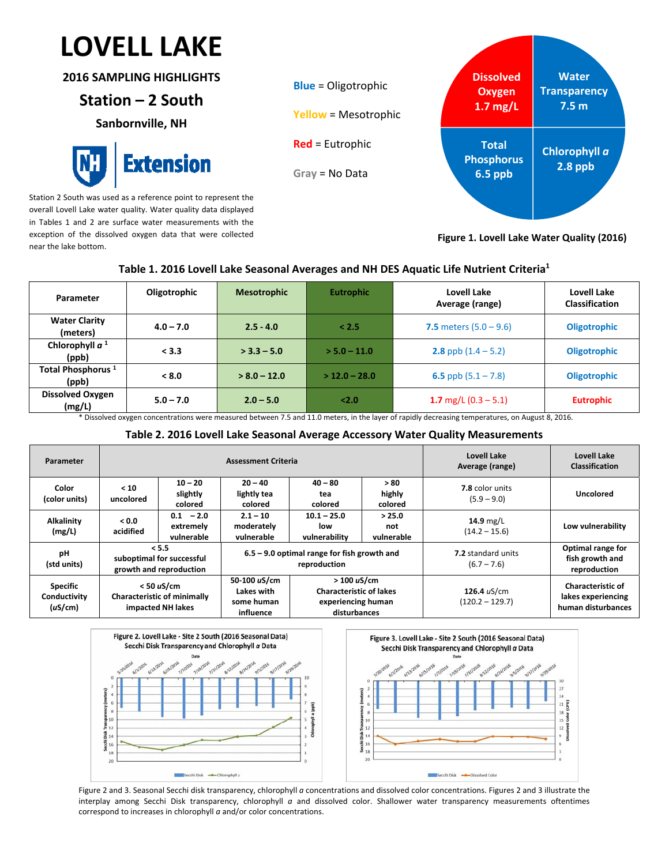# $\overline{a}$ **LOVELL LAKE**

**2016 SAMPLING HIGHLIGHTS**

## **Station – 2 South**

**Sanbornville, NH**



Station 2 South was used as a reference point to represent the overall Lovell Lake water quality. Water quality data displayed in Tables 1 and 2 are surface water measurements with the exception of the dissolved oxygen data that were collected near the lake bottom.



**Figure 1. Lovell Lake Water Quality (2016)**

 $\overline{27}$ 

 $21\overline{6}$  $\begin{array}{rcl}\n0 & \frac{11}{2} & \frac{11}{2} & \frac{11}{2} \\
\frac{11}{2} & \frac{11}{2} & \frac{11}{2} & \frac{11}{2}\n\end{array}$ 

## **Table 1. 2016 Lovell Lake Seasonal Averages and NH DES Aquatic Life Nutrient Criteria1**

| Parameter                              | Oligotrophic | <b>Mesotrophic</b> | <b>Eutrophic</b> | Lovell Lake<br>Average (range) | Lovell Lake<br><b>Classification</b> |
|----------------------------------------|--------------|--------------------|------------------|--------------------------------|--------------------------------------|
| <b>Water Clarity</b><br>(meters)       | $4.0 - 7.0$  | $2.5 - 4.0$        | < 2.5            | 7.5 meters $(5.0 - 9.6)$       | <b>Oligotrophic</b>                  |
| Chlorophyll $a1$<br>(ppb)              | < 3.3        | $>$ 3.3 – 5.0      | $> 5.0 - 11.0$   | <b>2.8</b> ppb $(1.4 - 5.2)$   | <b>Oligotrophic</b>                  |
| Total Phosphorus <sup>1</sup><br>(ppb) | < 8.0        | $> 8.0 - 12.0$     | $>$ 12.0 – 28.0  | 6.5 ppb $(5.1 - 7.8)$          | <b>Oligotrophic</b>                  |
| <b>Dissolved Oxygen</b><br>(mg/L)      | $5.0 - 7.0$  | $2.0 - 5.0$        | 2.0              | 1.7 mg/L $(0.3 - 5.1)$         | <b>Eutrophic</b>                     |

\* Dissolved oxygen concentrations were measured between 7.5 and 11.0 meters, in the layer of rapidly decreasing temperatures, on August 8, 2016.

### **Table 2. 2016 Lovell Lake Seasonal Average Accessory Water Quality Measurements**

| Parameter                                  | <b>Assessment Criteria</b>                                              |                                        |                                                               |                                                                                              |                             | Lovell Lake<br>Average (range)             | Lovell Lake<br><b>Classification</b>                                 |
|--------------------------------------------|-------------------------------------------------------------------------|----------------------------------------|---------------------------------------------------------------|----------------------------------------------------------------------------------------------|-----------------------------|--------------------------------------------|----------------------------------------------------------------------|
| Color<br>(color units)                     | < 10<br>uncolored                                                       | $10 - 20$<br>slightly<br>colored       | $20 - 40$<br>lightly tea<br>colored                           | $40 - 80$<br>tea<br>colored                                                                  | >80<br>highly<br>colored    | 7.8 color units<br>$(5.9 - 9.0)$           | Uncolored                                                            |
| <b>Alkalinity</b><br>(mg/L)                | 0.0 <sub>0</sub><br>acidified                                           | $0.1 - 2.0$<br>extremely<br>vulnerable | $2.1 - 10$<br>moderately<br>vulnerable                        | $10.1 - 25.0$<br>low<br>vulnerability                                                        | > 25.0<br>not<br>vulnerable | 14.9 $mg/L$<br>$(14.2 - 15.6)$             | Low vulnerability                                                    |
| рH<br>(std units)                          | < 5.5<br>suboptimal for successful<br>growth and reproduction           |                                        | $6.5 - 9.0$ optimal range for fish growth and<br>reproduction |                                                                                              |                             | <b>7.2</b> standard units<br>$(6.7 - 7.6)$ | Optimal range for<br>fish growth and<br>reproduction                 |
| <b>Specific</b><br>Conductivity<br>(uS/cm) | $<$ 50 uS/cm<br><b>Characteristic of minimally</b><br>impacted NH lakes |                                        | 50-100 uS/cm<br>Lakes with<br>some human<br>influence         | $>100 \text{ uS/cm}$<br><b>Characteristic of lakes</b><br>experiencing human<br>disturbances |                             | 126.4 uS/cm<br>$(120.2 - 129.7)$           | <b>Characteristic of</b><br>lakes experiencing<br>human disturbances |



Figure 2 and 3. Seasonal Secchi disk transparency, chlorophyll *a* concentrations and dissolved color concentrations. Figures 2 and 3 illustrate the interplay among Secchi Disk transparency, chlorophyll *a* and dissolved color. Shallower water transparency measurements oftentimes correspond to increases in chlorophyll *a* and/or color concentrations.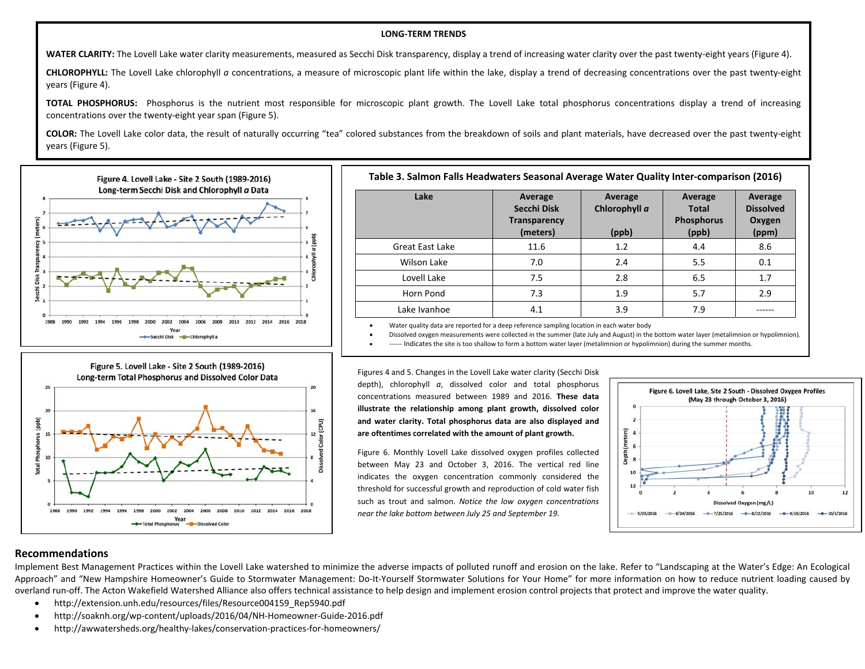#### **LONG‐TERM TRENDS**

**WATER CLARITY:** The Lovell Lake water clarity measurements, measured as Secchi Disk transparency, display <sup>a</sup> trend of increasing water clarity over the past twenty‐eight years (Figure 4).

**CHLOROPHYLL:** The Lovell Lake chlorophyll *<sup>a</sup>* concentrations, <sup>a</sup> measure of microscopic plant life within the lake, display <sup>a</sup> trend of decreasing concentrations over the past twenty‐eight years (Figure 4).

**TOTAL PHOSPHORUS:** Phosphorus is the nutrient most responsible for microscopic plant growth. The Lovell Lake total phosphorus concentrations display <sup>a</sup> trend of increasing concentrations over the twenty‐eight year span (Figure 5).

**COLOR:** The Lovell Lake color data, the result of naturally occurring "tea" colored substances from the breakdown of soils and plant materials, have decreased over the past twenty‐eight years (Figure 5).

۰

G





#### **Table 3. Salmon Falls Headwaters Seasonal Average Water Quality Inter‐comparison (2016)**

| Lake                   | Average<br>Secchi Disk<br><b>Transparency</b><br>(meters) | Average<br>Chlorophyll a<br>(ppb) | Average<br><b>Total</b><br><b>Phosphorus</b><br>(ppb) | Average<br><b>Dissolved</b><br>Oxygen<br>(ppm) |
|------------------------|-----------------------------------------------------------|-----------------------------------|-------------------------------------------------------|------------------------------------------------|
| <b>Great East Lake</b> | 11.6                                                      | 1.2                               | 4.4                                                   | 8.6                                            |
| Wilson Lake            | 7.0                                                       | 2.4                               | 5.5                                                   | 0.1                                            |
| Lovell Lake            | 7.5                                                       | 2.8                               | 6.5                                                   | 1.7                                            |
| Horn Pond              | 7.3                                                       | 1.9                               | 5.7                                                   | 2.9                                            |
| Lake Ivanhoe           | 4.1                                                       | 3.9                               | 7.9                                                   |                                                |

. Water quality data are reported for <sup>a</sup> deep reference sampling location in each water body

Dissolved oxygen measurements were collected in the summer (late July and August) in the bottom water layer (metalimnion or hypolimnion).

‐‐‐‐‐‐ Indicates the site is too shallow to form <sup>a</sup> bottom water layer (metalimnion or hypolimnion) during the summer months.

Figures 4 and 5. Changes in the Lovell Lake water clarity (Secchi Disk depth), chlorophyll *<sup>a</sup>*, dissolved color and total phosphorus concentrations measured between 1989 and 2016. **These data illustrate the relationship among plant growth, dissolved color and water clarity. Total phosphorus data are also displayed and are oftentimes correlated with the amount of plant growth.**

Figure 6. Monthly Lovell Lake dissolved oxygen profiles collected between May 23 and October 3, 2016. The vertical red line indicates the oxygen concentration commonly considered the threshold for successful growth and reproduction of cold water fish such as trout and salmon. *Notice the low oxygen concentrations near the lake bottom between July 25 and September 19.*



#### **Recommendations**

Implement Best Management Practices within the Lovell Lake watershed to minimize the adverse impacts of polluted runoff and erosion on the lake. Refer to "Landscaping at the Water's Edge: An Ecological Approach" and "New Hampshire Homeowner's Guide to Stormwater Management: Do-It-Yourself Stormwater Solutions for Your Home" for more information on how to reduce nutrient loading caused by overland run‐off. The Acton Wakefield Watershed Alliance also offers technical assistance to help design and implement erosion control projects that protect and improve the water quality.

- $\bullet$ http://extension.unh.edu/resources/files/Resource004159\_Rep5940.pdf
- . http://soaknh.org/wp‐content/uploads/2016/04/NH‐Homeowner‐Guide‐2016.pdf
- $\bullet$ http://awwatersheds.org/healthy-lakes/conservation-practices-for-homeowners/